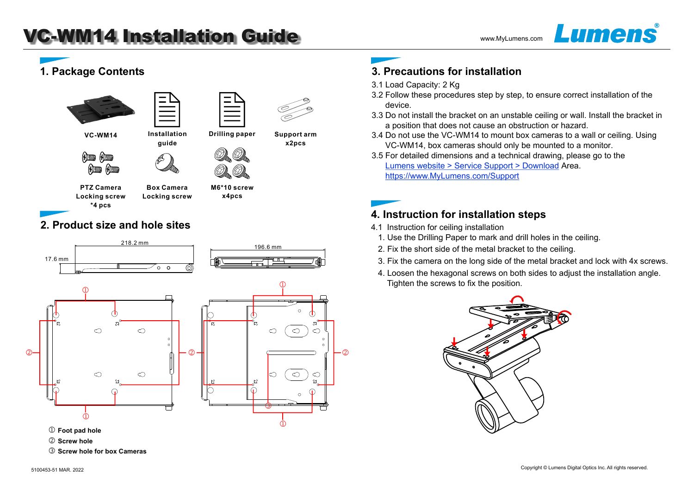**guide Installation** 

# **1. Package Contents**





**VC-WM14**





**x4pcs**

**Support arm x2pcs**

**PTZ Camera Locking screw \*4 pcs**

**Box Camera Locking screw M6\*10 screw**

## **2. Product size and hole sites**



- $\textcircled{1}$  Foot pad hole
- k **Screw hole**
- l **Screw hole for box Cameras**

# **3. Precautions for installation**

- 3.1 Load Capacity: 2 Kg
- 3.2 Follow these procedures step by step, to ensure correct installation of the device.
- 3.3 Do not install the bracket on an unstable ceiling or wall. Install the bracket in a position that does not cause an obstruction or hazard.
- 3.4 Do not use the VC-WM14 to mount box cameras to a wall or ceiling. Using VC-WM14, box cameras should only be mounted to a monitor.
- 3.5 For detailed dimensions and a technical drawing, please go to the Lumens website > Service Support > Download Area. https://www.MyLumens.com/Support

### **4. Instruction for installation steps**

- 4.1 Instruction for ceiling installation
	- 1. Use the Drilling Paper to mark and drill holes in the ceiling.
	- 2. Fix the short side of the metal bracket to the ceiling.
	- 3. Fix the camera on the long side of the metal bracket and lock with 4x screws.
	- 4. Loosen the hexagonal screws on both sides to adjust the installation angle. Tighten the screws to fix the position.